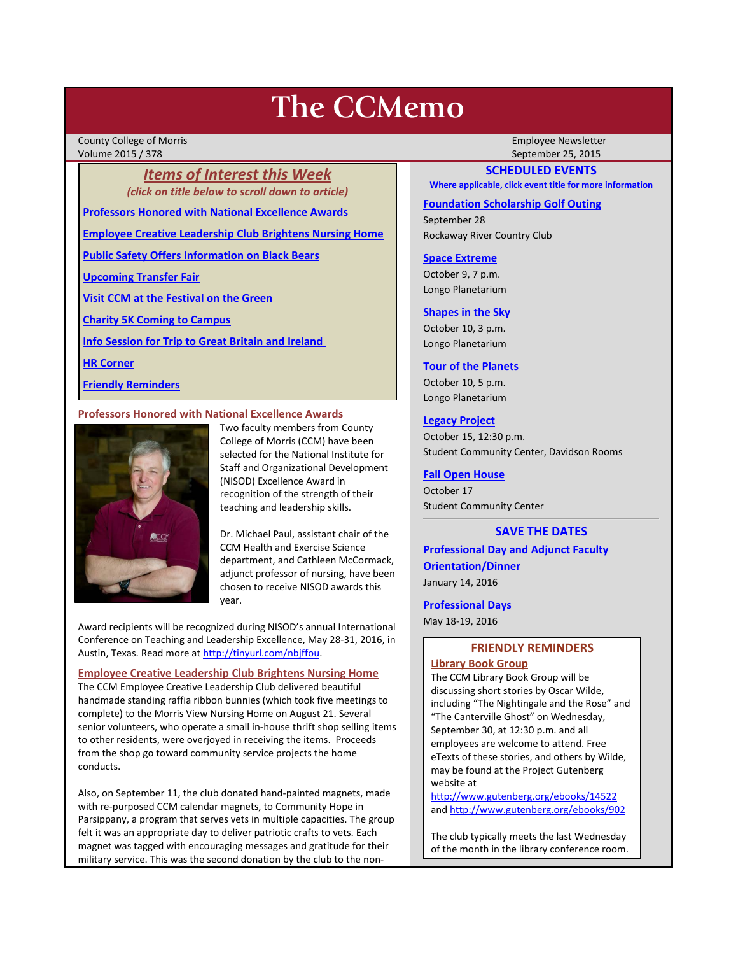# **The CCMemo**

County College of Morris Employee Newsletter Volume 2015 / 378 September 25, 2015

*Items of Interest this Week (click on title below to scroll down to article)*

**[Professors Honored with National Excellence Awards](#page-0-0)**

**[Employee Creative Leadership Club Brightens Nursing Home](#page-0-1)**

**[Public Safety Offers Information on Black Bears](#page-1-0)**

**[Upcoming Transfer Fair](#page-2-0)**

**[Visit CCM at the Festival on the Green](#page-2-1)**

**[Charity 5K Coming to Campus](#page-2-2)**

**[Info Session for Trip to Great Britain and Ireland](#page-2-3)**

**[HR Corner](#page-2-4)**

**[Friendly Reminders](#page-0-2)**

# <span id="page-0-0"></span>**Professors Honored with National Excellence Awards**



Two faculty members from County College of Morris (CCM) have been selected for the National Institute for Staff and Organizational Development (NISOD) Excellence Award in recognition of the strength of their teaching and leadership skills.

Dr. Michael Paul, assistant chair of the CCM Health and Exercise Science department, and Cathleen McCormack, adjunct professor of nursing, have been chosen to receive NISOD awards this year.

Award recipients will be recognized during NISOD's annual International Conference on Teaching and Leadership Excellence, May 28-31, 2016, in Austin, Texas. Read more a[t http://tinyurl.com/nbjffou.](http://tinyurl.com/nbjffou) 

<span id="page-0-1"></span>**Employee Creative Leadership Club Brightens Nursing Home** The CCM Employee Creative Leadership Club delivered beautiful handmade standing raffia ribbon bunnies (which took five meetings to complete) to the Morris View Nursing Home on August 21. Several senior volunteers, who operate a small in-house thrift shop selling items to other residents, were overjoyed in receiving the items. Proceeds from the shop go toward community service projects the home conducts.

Also, on September 11, the club donated hand-painted magnets, made with re-purposed CCM calendar magnets, to Community Hope in Parsippany, a program that serves vets in multiple capacities. The group felt it was an appropriate day to deliver patriotic crafts to vets. Each magnet was tagged with encouraging messages and gratitude for their military service. This was the second donation by the club to the non-

# **SCHEDULED EVENTS**

**Where applicable, click event title for more information**

# **[Foundation Scholarship Golf Outing](http://www.ccm.edu/pdf/GolfInvite15Email_internal.pdf)**

September 28 Rockaway River Country Club

## **[Space Extreme](http://www.ccm.edu/newsEvents/eventDetails.aspx?Channel=/Channels/Sitewide&WorkflowItemID=1874a4b0-0bcb-4ed1-a29e-7b4f8d25e45d)**

October 9, 7 p.m. Longo Planetarium

## **[Shapes in the Sky](http://www.ccm.edu/newsEvents/eventDetails.aspx?Channel=/Channels/Sitewide&WorkflowItemID=1922c928-86d3-4e75-b6a2-fd618033989c)**

October 10, 3 p.m. Longo Planetarium

# **[Tour of the Planets](http://www.ccm.edu/newsEvents/eventDetails.aspx?Channel=/Channels/Sitewide&WorkflowItemID=5834aa20-68ba-4fa2-a3ac-75b2311ba441)**

October 10, 5 p.m. Longo Planetarium

## **[Legacy Project](http://www.ccm.edu/newsEvents/newsDetails.aspx?Channel=%2fChannels%2fSitewide&WorkflowItemID=5bd94e22-efe8-4288-bb43-aa5783b26c61)**

October 15, 12:30 p.m. Student Community Center, Davidson Rooms

# **[Fall Open House](http://www.ccm.edu/newsEvents/newsDetails.aspx?Channel=%2fChannels%2fSitewide&WorkflowItemID=a1cea02d-b22e-4024-86b7-ce41a9677b56)**

October 17 Student Community Center

# **SAVE THE DATES**

**Professional Day and Adjunct Faculty Orientation/Dinner** January 14, 2016

**Professional Days** May 18-19, 2016

# <span id="page-0-2"></span>**FRIENDLY REMINDERS Library Book Group**

The CCM Library Book Group will be discussing short stories by Oscar Wilde, including "The Nightingale and the Rose" and "The Canterville Ghost" on Wednesday, September 30, at 12:30 p.m. and all employees are welcome to attend. Free eTexts of these stories, and others by Wilde, may be found at the Project Gutenberg website at

<http://www.gutenberg.org/ebooks/14522> an[d http://www.gutenberg.org/ebooks/902](http://www.gutenberg.org/ebooks/902)

The club typically meets the last Wednesday of the month in the library conference room.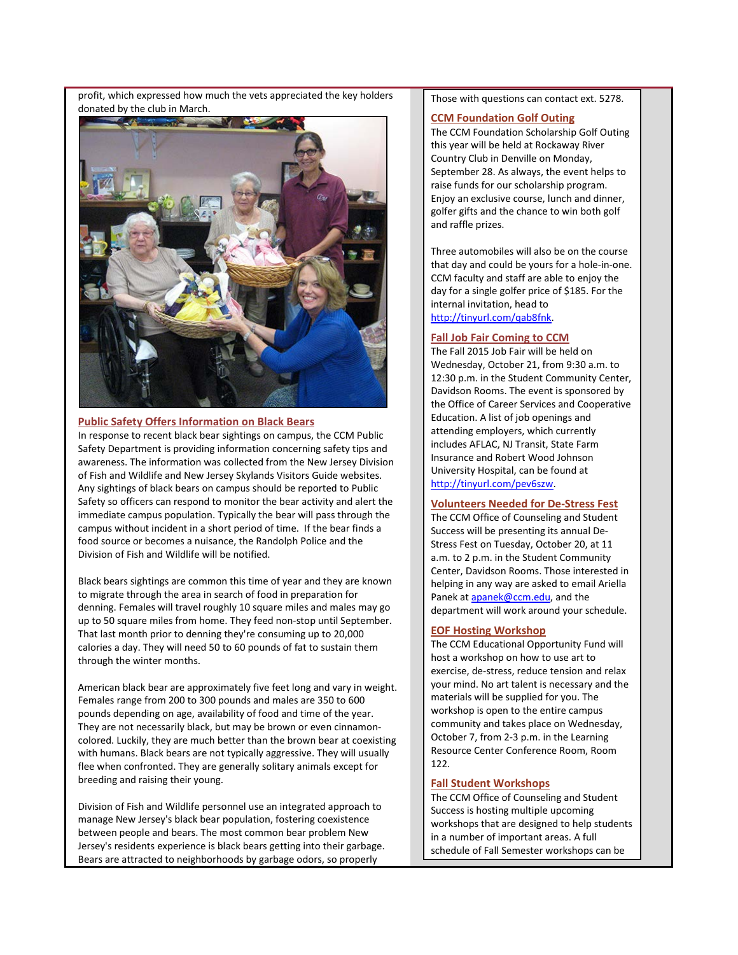profit, which expressed how much the vets appreciated the key holders donated by the club in March.



# <span id="page-1-0"></span>**Public Safety Offers Information on Black Bears**

In response to recent black bear sightings on campus, the CCM Public Safety Department is providing information concerning safety tips and awareness. The information was collected from the New Jersey Division of Fish and Wildlife and New Jersey Skylands Visitors Guide websites. Any sightings of black bears on campus should be reported to Public Safety so officers can respond to monitor the bear activity and alert the immediate campus population. Typically the bear will pass through the campus without incident in a short period of time. If the bear finds a food source or becomes a nuisance, the Randolph Police and the Division of Fish and Wildlife will be notified.

Black bears sightings are common this time of year and they are known to migrate through the area in search of food in preparation for denning. Females will travel roughly 10 square miles and males may go up to 50 square miles from home. They feed non-stop until September. That last month prior to denning they're consuming up to 20,000 calories a day. They will need 50 to 60 pounds of fat to sustain them through the winter months.

American black bear are approximately five feet long and vary in weight. Females range from 200 to 300 pounds and males are 350 to 600 pounds depending on age, availability of food and time of the year. They are not necessarily black, but may be brown or even cinnamoncolored. Luckily, they are much better than the brown bear at coexisting with humans. Black bears are not typically aggressive. They will usually flee when confronted. They are generally solitary animals except for breeding and raising their young.

Division of Fish and Wildlife personnel use an integrated approach to manage New Jersey's black bear population, fostering coexistence between people and bears. The most common bear problem New Jersey's residents experience is black bears getting into their garbage. Bears are attracted to neighborhoods by garbage odors, so properly

Those with questions can contact ext. 5278.

# **CCM Foundation Golf Outing**

The CCM Foundation Scholarship Golf Outing this year will be held at Rockaway River Country Club in Denville on Monday, September 28. As always, the event helps to raise funds for our scholarship program. Enjoy an exclusive course, lunch and dinner, golfer gifts and the chance to win both golf and raffle prizes.

Three automobiles will also be on the course that day and could be yours for a hole-in-one. CCM faculty and staff are able to enjoy the day for a single golfer price of \$185. For the internal invitation, head to [http://tinyurl.com/qab8fnk.](http://tinyurl.com/qab8fnk)

#### **Fall Job Fair Coming to CCM**

The Fall 2015 Job Fair will be held on Wednesday, October 21, from 9:30 a.m. to 12:30 p.m. in the Student Community Center, Davidson Rooms. The event is sponsored by the Office of Career Services and Cooperative Education. A list of job openings and attending employers, which currently includes AFLAC, NJ Transit, State Farm Insurance and Robert Wood Johnson University Hospital, can be found at [http://tinyurl.com/pev6szw.](http://tinyurl.com/pev6szw)

# **Volunteers Needed for De-Stress Fest**

The CCM Office of Counseling and Student Success will be presenting its annual De-Stress Fest on Tuesday, October 20, at 11 a.m. to 2 p.m. in the Student Community Center, Davidson Rooms. Those interested in helping in any way are asked to email Ariella Panek a[t apanek@ccm.edu,](mailto:apanek@ccm.edu) and the department will work around your schedule.

# **EOF Hosting Workshop**

The CCM Educational Opportunity Fund will host a workshop on how to use art to exercise, de-stress, reduce tension and relax your mind. No art talent is necessary and the materials will be supplied for you. The workshop is open to the entire campus community and takes place on Wednesday, October 7, from 2-3 p.m. in the Learning Resource Center Conference Room, Room 122.

# **Fall Student Workshops**

The CCM Office of Counseling and Student Success is hosting multiple upcoming workshops that are designed to help students in a number of important areas. A full schedule of Fall Semester workshops can be